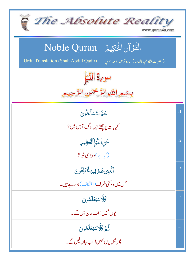| The Absolute Reality<br>www.quran4u.com                                                                                 |            |
|-------------------------------------------------------------------------------------------------------------------------|------------|
| الْقُرْآنِ الْحَكِيمُّ Noble Quran<br>(حضرت شاه عبد القادر) اردوتر جمه بمعه عربي<br>Urdu Translation (Shah Abdul Qadir) |            |
| سو Sy الذي                                                                                                              |            |
| بسمو اللوالرَّحْمَنِ الرَّ                                                                                              |            |
| عَمَّ يَتَسَاءَلُونَ                                                                                                    | $\cdot$ 1  |
| کیابات <i>یوچھتے ہیں لوگ آ</i> پس میں ؟                                                                                 |            |
| عَنِ ٱلنَّبَإِ ٱلۡعَظِيمِ                                                                                               | $\cdot$ .2 |
| (کیاہے)وہ بڑی خمر؟                                                                                                      |            |
| ٱلَّٰٓنِى هُمۡ فِيهِ كُخۡتَلِفُونَ                                                                                      | .3         |
| جس میں وہ کئی طرف (اختلاف)ہورہے ہیں۔                                                                                    |            |
| كَلَّاسَيَعْلَمُونَ                                                                                                     | .4         |
| یوں نہیں! اب جان لیں گے۔                                                                                                |            |
| ثُمَّ كَلَّاسَيْتُلَمُّونَ                                                                                              | .5         |
| پھر بھی یوں نہیں! اب جان لیں گے۔                                                                                        |            |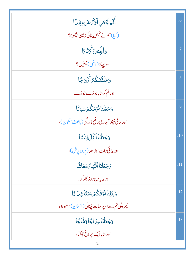| أَلَمَ بَجُعَلِ ٱلْأَرْضَ مِهَدًا                | .6  |
|--------------------------------------------------|-----|
| (کیا)ہم نے نہیں بنائی زمین بچھونا؟               |     |
| وَأَلْجِبَالَ أَوُتَادًا                         | .7  |
| اور پہاڑ (اسکی) میخیں ؟                          |     |
| وَخَلَقْتَكُمۡ أَزۡوَاجَا                        | .8  |
| اور تم کو بنایاجوڑے جوڑے،                        |     |
| وَجَعَلْنَانَوۡمَكُمۡ ِسُبَاتَا                  | .9  |
| اور بنائی نیند تمہاری د فع ماند گی( باعث سکون )، |     |
| وَجَعَلْنَا ٱلثَّيْلَ لِبَاسًا                   | .10 |
| اور بنائی رات اوڑ ھنا(پر دہ <sup>ہ</sup> وش)،    |     |
| وَجَعَلْنَا ٱلنَّهَاَىَ مَعَاشًا                 | .11 |
| اور بنایادن روز گار کو۔                          |     |
| وَبَنَيْنَافَوُقَكُمُ سَبُعًاشِدَادًا            | .12 |
| پھر چُی تم سے اوپر سات چُنائی( آسان)مضبوط،       |     |
| <b>وَجَعَلْنَاسِرَاجَاوَهَّاجًا</b>              | .13 |
| اور بناي <u>اايک تړاغ چ</u> مکتا،                |     |
|                                                  |     |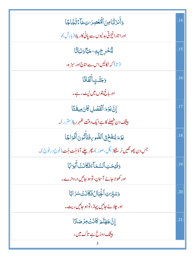| وَأَنزَلْنَامِنَ ٱلْمُغْصِرَاتِ مَآءَّثَجَّاجًا                 | .14 |
|-----------------------------------------------------------------|-----|
| اور اتارانچڑتی بدلیوں سے پانی کاریلا (بارش)،                    |     |
| ڷێ۠ڂٛڔؚڿۜڔؚ؈ؚۦڬڹٵۧۏڹؘٵؾٙٞٵ                                      | .15 |
| (تا) کہ نکالیں <sub>اس سے</sub> اناج اور سبز ہ،                 |     |
| وَجَنَّتِ أَلَّفَافَا                                           | .16 |
| اور باغ پټوں میں ل <sub>یٹ</sub> رہے۔                           |     |
| إِنَّ يَوۡمَ ٱلۡقَصَٰلِ كَانَ مِيقَتَا                          | .17 |
| بیثک دن ف <u>صلے کا ہ</u> ے ایک وقت <i>کھہر ر</i> ہا(مقرر)۔     |     |
| يَوۡمَ يُنفَخۡ فِى ٱلصُّوِىٰ فَتَأۡنُونَ أَفۡوَاجًا             | .18 |
| جس دن پھو نکیں نر سنگا(بگل،صور)، پھر چلے آؤجُٹ جُٹ(فوج در فوج)۔ |     |
| وَفُتِحَتِ ٱلسَّمَآءُفَكَانَتَ أَبَوَابًا                       | .19 |
| اور کھولا جائے آسان، توہو جائیں دروازے۔                         |     |
| وَ <i>شَيِّرَتِ أَجِّبَالُ فَكَانَتُ سَرَ</i> ابًا              | .20 |
| اور چلائے جائیں پہاڑ، توہو جائیں ریت۔                           |     |
| إِنَّ جَهَنَّمَ كَانَتْ مِرْصَادًا                              | .21 |
| بیٹک دوزخ ہے تاک میں،                                           |     |
| 3                                                               |     |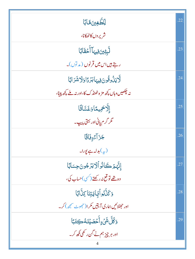| <b>لِّلطَّغِينَ هَابًا</b>                            | .22 |
|-------------------------------------------------------|-----|
| شريروں كاٹھكانا،                                      |     |
| ڵؖۑؚؿؚ <sub>۠</sub> ؾ؋ۣڽؠؘٵۧٲۘڂڤؘٲڹ <i>ٵ</i>          | .23 |
| رہتے ہیں اس میں قرنوں ( مدتوں)۔                       |     |
| ڷۜۯۑؘڹؙٛۏػٛۅڹؘڣۣۑؠٵڹۯٙڋٳۅؘڷٲۺؘڗٳڹٵ                    | .24 |
| نہ چکھیں وہاں کچھ مز ہ ٹھنڈ ک کا،اور نہ ملے کچھ پینا، |     |
| إلَّاحَهِيمًاوَغَسَّاقًا                              | .25 |
| گر گر م پانی اور بہتی پیپ۔                            |     |
| جَزَآءًوفَاقَا                                        | .26 |
| (په)بدله ہے يورا۔                                     |     |
| ٳڹَّهٖؿۡ كَانُواۡٱلَايَزۡ جُونَ حِسَابًا              | .27 |
| وہ تھے تو قع نہ رکھتے ( <sup>کس</sup> ی)حساب کی،      |     |
| وَكَنَّكُواۡبَايَتِنَا كِنَّالَاٖ                     | .28 |
| اور حجیٹلائیں ہماری آبتیں مکر ا(حجھوٹ سمجھ) کر۔       |     |
| <b>وَكُلَّ شَيْءٍأَخْصَيْنَهُ كِتَبَا</b>             | .29 |
| اور ہر چیز ہم نے گ <sup>ی</sup> ن رکھی لکھ کر۔        |     |
|                                                       |     |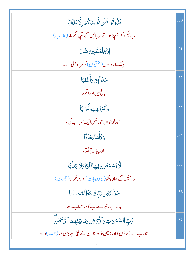| فَذُوقُواًفَلَن ثَّزِينَ كُمَّ إِلَّا عَذَابًا                     | .30 |
|--------------------------------------------------------------------|-----|
| اب چکھو کہ ہم بڑھاتے نہ جائیں گے تم پر مگر مار ( عذاب )۔           |     |
| ٳڹ <i>ٙ</i> ٙٳڸٙڵٙڡ۠ؾؖٞڦؚڹؾؘڡؘڡۘٙٲۯٵ                               | .31 |
| <b>بیٹنگ ڈر دالوں (متقیوں ) کومر اد ملنی ہے۔</b>                   |     |
| <u>حَىٰٓ</u> ٳٙڸٟڹؘ؋ؘٲٛٙۼٙڹٙٵ                                      | .32 |
| باغ بیں اور انگور ،                                                |     |
| وَكَوَاعِبَأَنَّزَابًا                                             | .33 |
| اور نوجوان عور تيں ايک عمر سب کی،                                  |     |
| وَكَأَسًادِهَاقًا                                                  | .34 |
| اور پياله جهلگا،                                                   |     |
| لَّايَسْمَعُونَ فِيهَالَغَوَّا دَلَّا رَبِّانَا                    | .35 |
| نہ سنیں گے وہاں بکنا(بیہو دہ بات)اور نہ مکر انا(حج <i>و</i> ٹ)۔    |     |
| <b>ٙڿڗؘ</b> ٳٙ <sub>ػٙ</sub> ۊڹۥڗٞڹ۪ۜڮٙۘڡؘڟؘٳٚۦۧٙڿۺٲڹٲ             | .36 |
| بدلہ ہے، تیرے رب کادیاحساب سے،                                     |     |
| ءَّابٍّ ٱلسَّمَوَاتِ وَٱلْأَمَّاضِ وَمَا بَيۡنَهُمَا ٱلرَّحۡمَٰنَ  | .37 |
| جورب ہے آسانوں کااور زمین کااور جوان کے نیچ ہے بڑی مہر (محبت)والا، |     |
|                                                                    |     |